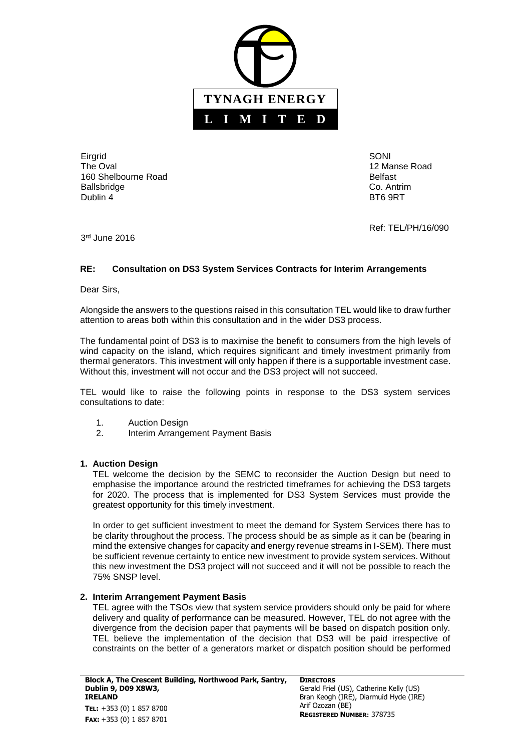

**Eirgrid** The Oval 160 Shelbourne Road Ballsbridge Dublin 4

SONI 12 Manse Road Belfast Co. Antrim BT6 9RT

Ref: TEL/PH/16/090

3 rd June 2016

## **RE: Consultation on DS3 System Services Contracts for Interim Arrangements**

Dear Sirs,

Alongside the answers to the questions raised in this consultation TEL would like to draw further attention to areas both within this consultation and in the wider DS3 process.

The fundamental point of DS3 is to maximise the benefit to consumers from the high levels of wind capacity on the island, which requires significant and timely investment primarily from thermal generators. This investment will only happen if there is a supportable investment case. Without this, investment will not occur and the DS3 project will not succeed.

TEL would like to raise the following points in response to the DS3 system services consultations to date:

- 1. Auction Design
- 2. Interim Arrangement Payment Basis

## **1. Auction Design**

TEL welcome the decision by the SEMC to reconsider the Auction Design but need to emphasise the importance around the restricted timeframes for achieving the DS3 targets for 2020. The process that is implemented for DS3 System Services must provide the greatest opportunity for this timely investment.

In order to get sufficient investment to meet the demand for System Services there has to be clarity throughout the process. The process should be as simple as it can be (bearing in mind the extensive changes for capacity and energy revenue streams in I-SEM). There must be sufficient revenue certainty to entice new investment to provide system services. Without this new investment the DS3 project will not succeed and it will not be possible to reach the 75% SNSP level.

## **2. Interim Arrangement Payment Basis**

TEL agree with the TSOs view that system service providers should only be paid for where delivery and quality of performance can be measured. However, TEL do not agree with the divergence from the decision paper that payments will be based on dispatch position only. TEL believe the implementation of the decision that DS3 will be paid irrespective of constraints on the better of a generators market or dispatch position should be performed